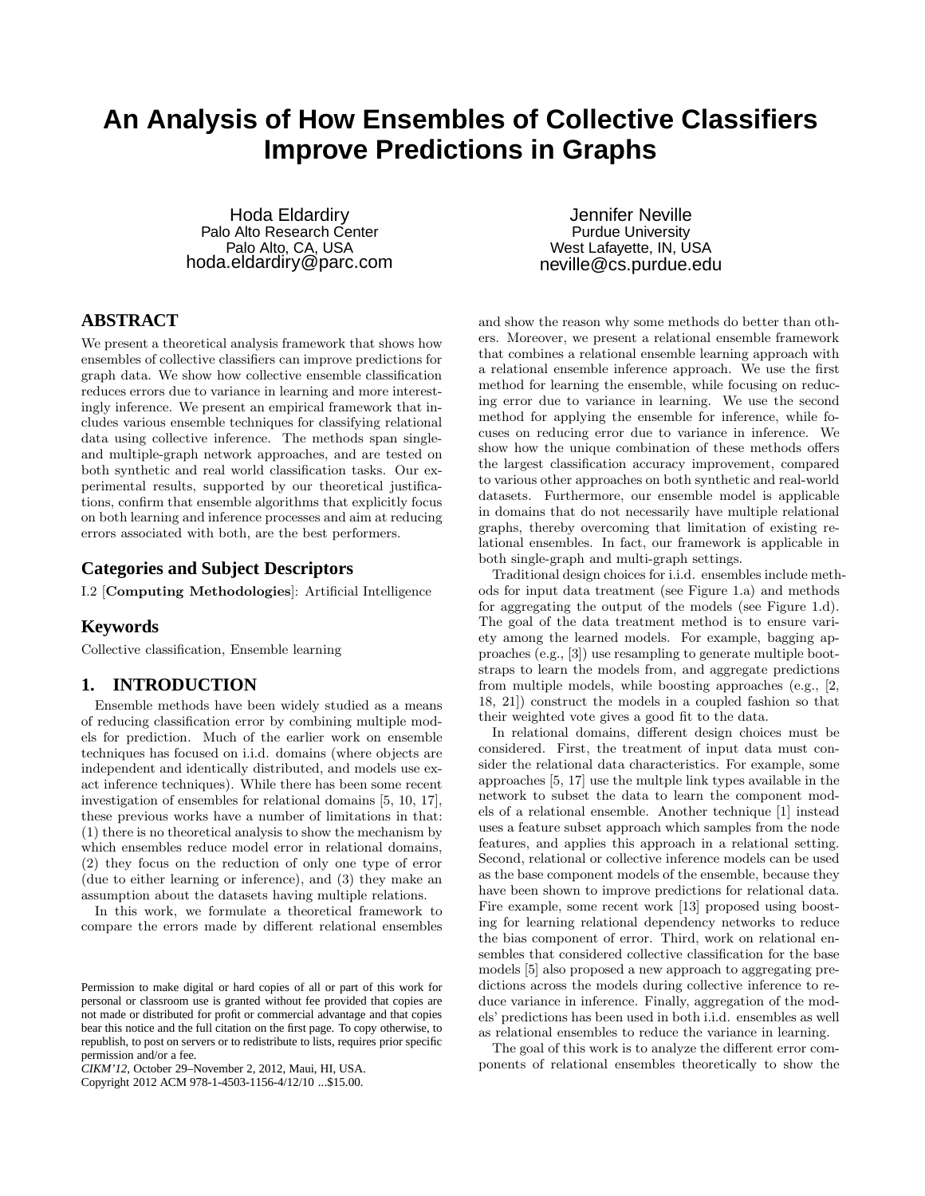# **An Analysis of How Ensembles of Collective Classifiers Improve Predictions in Graphs**

Hoda Eldardiry Palo Alto Research Center Palo Alto, CA, USA hoda.eldardiry@parc.com

# **ABSTRACT**

We present a theoretical analysis framework that shows how ensembles of collective classifiers can improve predictions for graph data. We show how collective ensemble classification reduces errors due to variance in learning and more interestingly inference. We present an empirical framework that includes various ensemble techniques for classifying relational data using collective inference. The methods span singleand multiple-graph network approaches, and are tested on both synthetic and real world classification tasks. Our experimental results, supported by our theoretical justifications, confirm that ensemble algorithms that explicitly focus on both learning and inference processes and aim at reducing errors associated with both, are the best performers.

# **Categories and Subject Descriptors**

I.2 [Computing Methodologies]: Artificial Intelligence

# **Keywords**

Collective classification, Ensemble learning

# **1. INTRODUCTION**

Ensemble methods have been widely studied as a means of reducing classification error by combining multiple models for prediction. Much of the earlier work on ensemble techniques has focused on i.i.d. domains (where objects are independent and identically distributed, and models use exact inference techniques). While there has been some recent investigation of ensembles for relational domains [5, 10, 17], these previous works have a number of limitations in that: (1) there is no theoretical analysis to show the mechanism by which ensembles reduce model error in relational domains, (2) they focus on the reduction of only one type of error (due to either learning or inference), and (3) they make an assumption about the datasets having multiple relations.

In this work, we formulate a theoretical framework to compare the errors made by different relational ensembles

Copyright 2012 ACM 978-1-4503-1156-4/12/10 ...\$15.00.

Jennifer Neville Purdue University West Lafayette, IN, USA neville@cs.purdue.edu

and show the reason why some methods do better than others. Moreover, we present a relational ensemble framework that combines a relational ensemble learning approach with a relational ensemble inference approach. We use the first method for learning the ensemble, while focusing on reducing error due to variance in learning. We use the second method for applying the ensemble for inference, while focuses on reducing error due to variance in inference. We show how the unique combination of these methods offers the largest classification accuracy improvement, compared to various other approaches on both synthetic and real-world datasets. Furthermore, our ensemble model is applicable in domains that do not necessarily have multiple relational graphs, thereby overcoming that limitation of existing relational ensembles. In fact, our framework is applicable in both single-graph and multi-graph settings.

Traditional design choices for i.i.d. ensembles include methods for input data treatment (see Figure 1.a) and methods for aggregating the output of the models (see Figure 1.d). The goal of the data treatment method is to ensure variety among the learned models. For example, bagging approaches (e.g., [3]) use resampling to generate multiple bootstraps to learn the models from, and aggregate predictions from multiple models, while boosting approaches (e.g., [2, 18, 21]) construct the models in a coupled fashion so that their weighted vote gives a good fit to the data.

In relational domains, different design choices must be considered. First, the treatment of input data must consider the relational data characteristics. For example, some approaches [5, 17] use the multple link types available in the network to subset the data to learn the component models of a relational ensemble. Another technique [1] instead uses a feature subset approach which samples from the node features, and applies this approach in a relational setting. Second, relational or collective inference models can be used as the base component models of the ensemble, because they have been shown to improve predictions for relational data. Fire example, some recent work [13] proposed using boosting for learning relational dependency networks to reduce the bias component of error. Third, work on relational ensembles that considered collective classification for the base models [5] also proposed a new approach to aggregating predictions across the models during collective inference to reduce variance in inference. Finally, aggregation of the models' predictions has been used in both i.i.d. ensembles as well as relational ensembles to reduce the variance in learning.

The goal of this work is to analyze the different error components of relational ensembles theoretically to show the

Permission to make digital or hard copies of all or part of this work for personal or classroom use is granted without fee provided that copies are not made or distributed for profit or commercial advantage and that copies bear this notice and the full citation on the first page. To copy otherwise, to republish, to post on servers or to redistribute to lists, requires prior specific permission and/or a fee.

*CIKM'12,* October 29–November 2, 2012, Maui, HI, USA.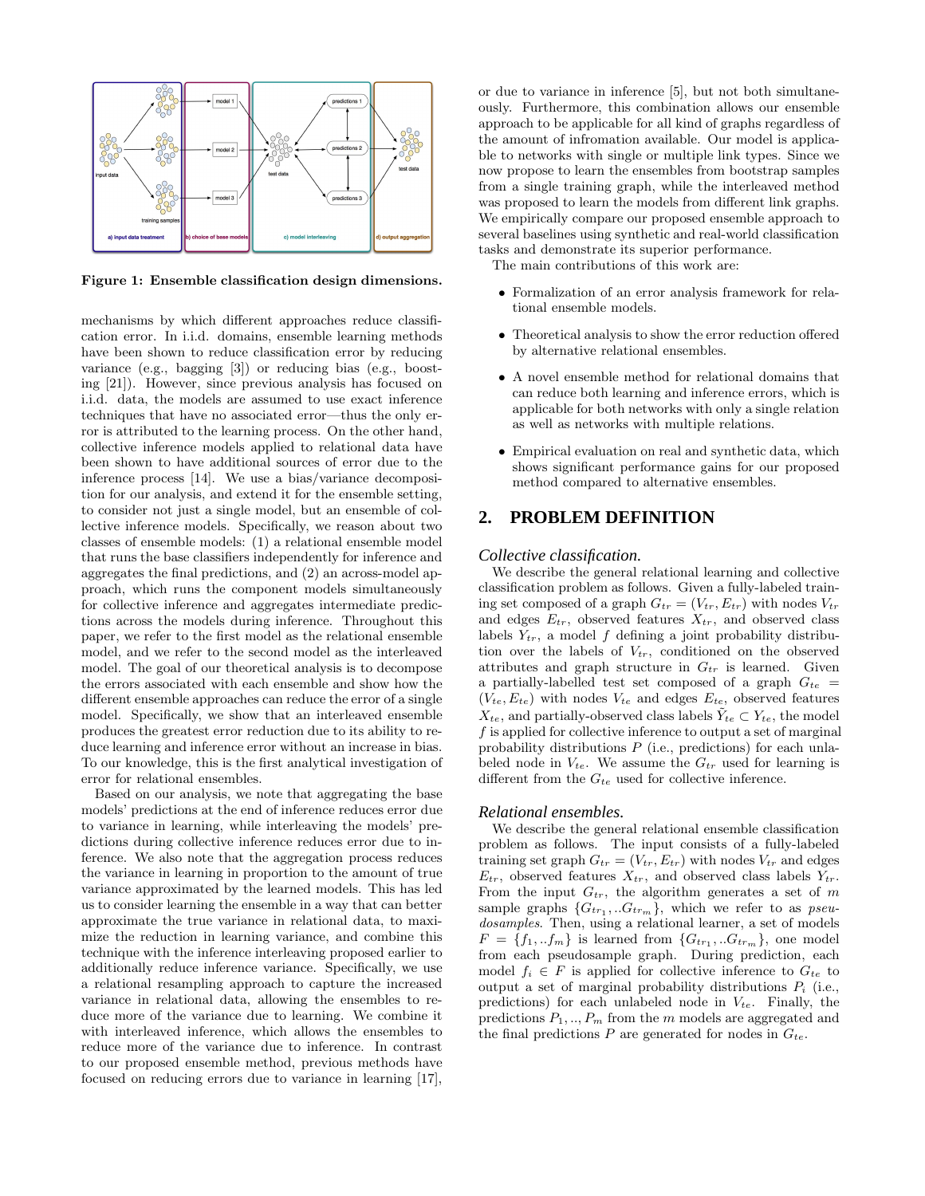

Figure 1: Ensemble classification design dimensions.

mechanisms by which different approaches reduce classification error. In i.i.d. domains, ensemble learning methods have been shown to reduce classification error by reducing variance (e.g., bagging [3]) or reducing bias (e.g., boosting [21]). However, since previous analysis has focused on i.i.d. data, the models are assumed to use exact inference techniques that have no associated error—thus the only error is attributed to the learning process. On the other hand, collective inference models applied to relational data have been shown to have additional sources of error due to the inference process [14]. We use a bias/variance decomposition for our analysis, and extend it for the ensemble setting, to consider not just a single model, but an ensemble of collective inference models. Specifically, we reason about two classes of ensemble models: (1) a relational ensemble model that runs the base classifiers independently for inference and aggregates the final predictions, and (2) an across-model approach, which runs the component models simultaneously for collective inference and aggregates intermediate predictions across the models during inference. Throughout this paper, we refer to the first model as the relational ensemble model, and we refer to the second model as the interleaved model. The goal of our theoretical analysis is to decompose the errors associated with each ensemble and show how the different ensemble approaches can reduce the error of a single model. Specifically, we show that an interleaved ensemble produces the greatest error reduction due to its ability to reduce learning and inference error without an increase in bias. To our knowledge, this is the first analytical investigation of error for relational ensembles.

Based on our analysis, we note that aggregating the base models' predictions at the end of inference reduces error due to variance in learning, while interleaving the models' predictions during collective inference reduces error due to inference. We also note that the aggregation process reduces the variance in learning in proportion to the amount of true variance approximated by the learned models. This has led us to consider learning the ensemble in a way that can better approximate the true variance in relational data, to maximize the reduction in learning variance, and combine this technique with the inference interleaving proposed earlier to additionally reduce inference variance. Specifically, we use a relational resampling approach to capture the increased variance in relational data, allowing the ensembles to reduce more of the variance due to learning. We combine it with interleaved inference, which allows the ensembles to reduce more of the variance due to inference. In contrast to our proposed ensemble method, previous methods have focused on reducing errors due to variance in learning [17],

or due to variance in inference [5], but not both simultaneously. Furthermore, this combination allows our ensemble approach to be applicable for all kind of graphs regardless of the amount of infromation available. Our model is applicable to networks with single or multiple link types. Since we now propose to learn the ensembles from bootstrap samples from a single training graph, while the interleaved method was proposed to learn the models from different link graphs. We empirically compare our proposed ensemble approach to several baselines using synthetic and real-world classification tasks and demonstrate its superior performance.

The main contributions of this work are:

- Formalization of an error analysis framework for relational ensemble models.
- Theoretical analysis to show the error reduction offered by alternative relational ensembles.
- A novel ensemble method for relational domains that can reduce both learning and inference errors, which is applicable for both networks with only a single relation as well as networks with multiple relations.
- Empirical evaluation on real and synthetic data, which shows significant performance gains for our proposed method compared to alternative ensembles.

# **2. PROBLEM DEFINITION**

#### *Collective classification.*

We describe the general relational learning and collective classification problem as follows. Given a fully-labeled training set composed of a graph  $G_{tr} = (V_{tr}, E_{tr})$  with nodes  $V_{tr}$ and edges  $E_{tr}$ , observed features  $X_{tr}$ , and observed class labels  $Y_{tr}$ , a model f defining a joint probability distribution over the labels of  $V_{tr}$ , conditioned on the observed attributes and graph structure in  $G_{tr}$  is learned. Given a partially-labelled test set composed of a graph  $G_{te}$  =  $(V_{te}, E_{te})$  with nodes  $V_{te}$  and edges  $E_{te}$ , observed features  $X_{te}$ , and partially-observed class labels  $Y_{te} \subset Y_{te}$ , the model  $f$  is applied for collective inference to output a set of marginal probability distributions  $P$  (i.e., predictions) for each unlabeled node in  $V_{te}$ . We assume the  $G_{tr}$  used for learning is different from the  $G_{te}$  used for collective inference.

## *Relational ensembles.*

We describe the general relational ensemble classification problem as follows. The input consists of a fully-labeled training set graph  $G_{tr} = (V_{tr}, E_{tr})$  with nodes  $V_{tr}$  and edges  $E_{tr}$ , observed features  $X_{tr}$ , and observed class labels  $Y_{tr}$ . From the input  $G_{tr}$ , the algorithm generates a set of m sample graphs  ${G_{tr_1},...G_{tr_m}}$ , which we refer to as pseudosamples. Then, using a relational learner, a set of models  $F = \{f_1, . . f_m\}$  is learned from  $\{G_{tr_1}, . . G_{tr_m}\}\$ , one model from each pseudosample graph. During prediction, each model  $f_i \in F$  is applied for collective inference to  $G_{te}$  to output a set of marginal probability distributions  $P_i$  (i.e., predictions) for each unlabeled node in  $V_{te}$ . Finally, the predictions  $P_1, ..., P_m$  from the m models are aggregated and the final predictions  $P$  are generated for nodes in  $G_{te}$ .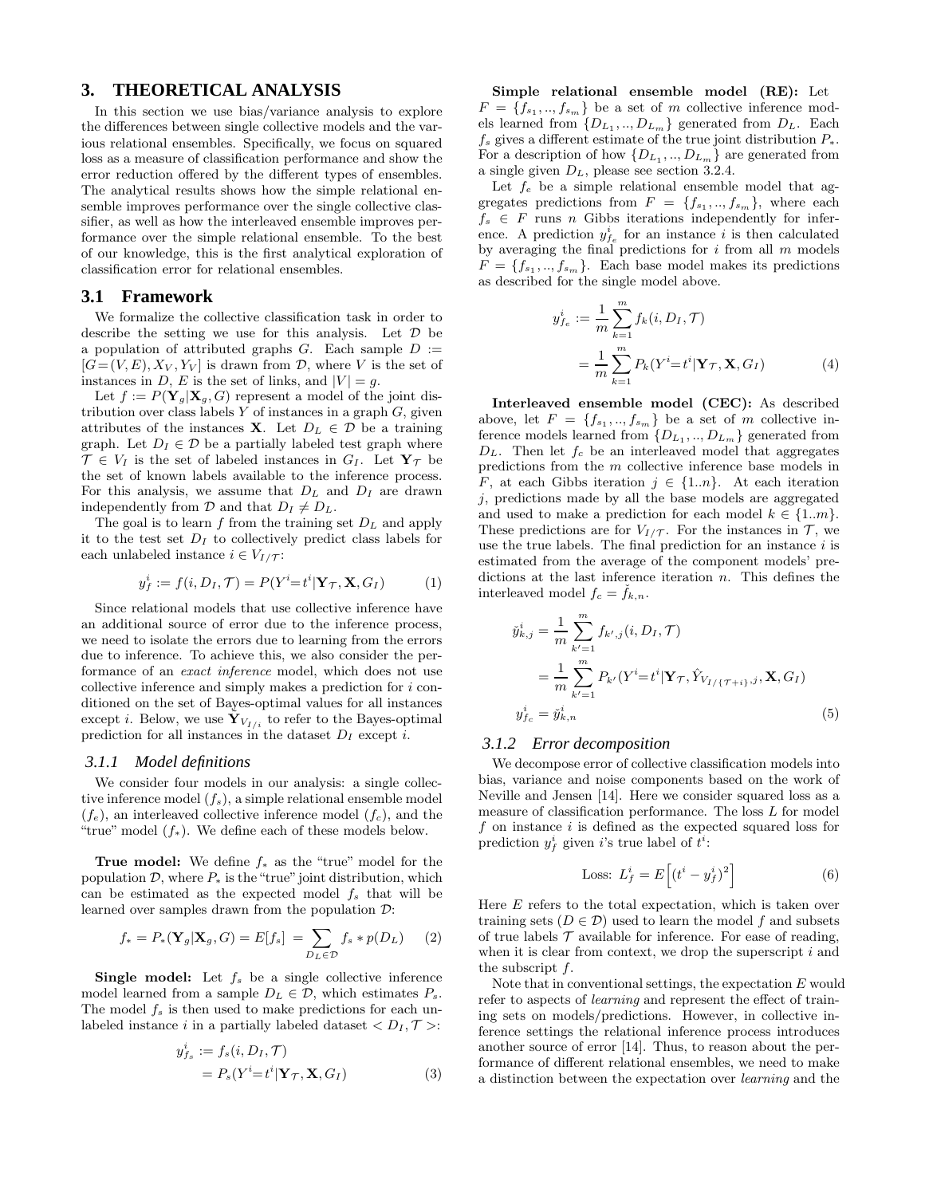# **3. THEORETICAL ANALYSIS**

In this section we use bias/variance analysis to explore the differences between single collective models and the various relational ensembles. Specifically, we focus on squared loss as a measure of classification performance and show the error reduction offered by the different types of ensembles. The analytical results shows how the simple relational ensemble improves performance over the single collective classifier, as well as how the interleaved ensemble improves performance over the simple relational ensemble. To the best of our knowledge, this is the first analytical exploration of classification error for relational ensembles.

## **3.1 Framework**

We formalize the collective classification task in order to describe the setting we use for this analysis. Let  $\mathcal D$  be a population of attributed graphs  $G$ . Each sample  $D :=$  $[G=(V, E), X_V, Y_V]$  is drawn from  $D$ , where V is the set of instances in D, E is the set of links, and  $|V| = g$ .

Let  $f := P(\mathbf{Y}_q | \mathbf{X}_q, G)$  represent a model of the joint distribution over class labels  $Y$  of instances in a graph  $G$ , given attributes of the instances **X**. Let  $D_L \in \mathcal{D}$  be a training graph. Let  $D_I \in \mathcal{D}$  be a partially labeled test graph where  $\mathcal{T} \in V_I$  is the set of labeled instances in  $G_I$ . Let  $\mathbf{Y}_{\mathcal{T}}$  be the set of known labels available to the inference process. For this analysis, we assume that  $D<sub>L</sub>$  and  $D<sub>I</sub>$  are drawn independently from  $D$  and that  $D_I \neq D_L$ .

The goal is to learn  $f$  from the training set  $D<sub>L</sub>$  and apply it to the test set  $D_I$  to collectively predict class labels for each unlabeled instance  $i \in V_{I/\mathcal{T}}$ :

$$
y_f^i := f(i, D_I, \mathcal{T}) = P(Y^i = t^i | \mathbf{Y}_{\mathcal{T}}, \mathbf{X}, G_I)
$$
 (1)

Since relational models that use collective inference have an additional source of error due to the inference process, we need to isolate the errors due to learning from the errors due to inference. To achieve this, we also consider the performance of an exact inference model, which does not use collective inference and simply makes a prediction for  $i$  conditioned on the set of Bayes-optimal values for all instances except *i*. Below, we use  $\mathbf{Y}_{V_{I/i}}$  to refer to the Bayes-optimal prediction for all instances in the dataset  $D_I$  except i.

#### *3.1.1 Model definitions*

We consider four models in our analysis: a single collective inference model  $(f_s)$ , a simple relational ensemble model  $(f_e)$ , an interleaved collective inference model  $(f_c)$ , and the "true" model  $(f_*)$ . We define each of these models below.

True model: We define  $f_*$  as the "true" model for the population  $D$ , where  $P_*$  is the "true" joint distribution, which can be estimated as the expected model  $f_s$  that will be learned over samples drawn from the population  $\mathcal{D}$ :

$$
f_* = P_*(\mathbf{Y}_g | \mathbf{X}_g, G) = E[f_s] = \sum_{D_L \in \mathcal{D}} f_s * p(D_L) \tag{2}
$$

**Single model:** Let  $f_s$  be a single collective inference model learned from a sample  $D_L \in \mathcal{D}$ , which estimates  $P_s$ . The model  $f_s$  is then used to make predictions for each unlabeled instance i in a partially labeled dataset  $\langle D_I, \mathcal{T} \rangle$ :

$$
y_{fs}^{i} := f_s(i, D_I, \mathcal{T})
$$
  
=  $P_s(Y^i = t^i | \mathbf{Y}_{\mathcal{T}}, \mathbf{X}, G_I)$  (3)

Simple relational ensemble model (RE): Let  $F = \{f_{s_1},...,f_{s_m}\}\$ be a set of m collective inference models learned from  $\{D_{L_1},...,D_{L_m}\}\$  generated from  $D_L$ . Each  $f_s$  gives a different estimate of the true joint distribution  $P_*$ . For a description of how  $\{D_{L_1},..., D_{L_m}\}\$ are generated from a single given  $D<sub>L</sub>$ , please see section 3.2.4.

Let  $f_e$  be a simple relational ensemble model that aggregates predictions from  $F = \{f_{s_1},...,f_{s_m}\}\$ , where each  $f_s \in F$  runs n Gibbs iterations independently for inference. A prediction  $y_{f_e}^i$  for an instance i is then calculated by averaging the final predictions for  $i$  from all  $m$  models  $F = \{f_{s_1},..., f_{s_m}\}.$  Each base model makes its predictions as described for the single model above.

$$
y_{fe}^{i} := \frac{1}{m} \sum_{k=1}^{m} f_{k}(i, D_{I}, \mathcal{T})
$$
  
= 
$$
\frac{1}{m} \sum_{k=1}^{m} P_{k}(Y^{i} = t^{i} | \mathbf{Y}_{\mathcal{T}}, \mathbf{X}, G_{I})
$$
(4)

Interleaved ensemble model (CEC): As described above, let  $F = \{f_{s_1},...,f_{s_m}\}\$ be a set of m collective inference models learned from  $\{D_{L_1},..., D_{L_m}\}$  generated from  $D_L$ . Then let  $f_c$  be an interleaved model that aggregates predictions from the m collective inference base models in F, at each Gibbs iteration  $j \in \{1..n\}$ . At each iteration  $j$ , predictions made by all the base models are aggregated and used to make a prediction for each model  $k \in \{1..m\}$ . These predictions are for  $V_{I/\mathcal{T}}$ . For the instances in  $\mathcal{T}$ , we use the true labels. The final prediction for an instance  $i$  is estimated from the average of the component models' predictions at the last inference iteration  $n$ . This defines the interleaved model  $f_c = f_{k,n}$ .

$$
\tilde{y}_{k,j}^{i} = \frac{1}{m} \sum_{k'=1}^{m} f_{k',j}(i, D_I, \mathcal{T})
$$
\n
$$
= \frac{1}{m} \sum_{k'=1}^{m} P_{k'}(Y^{i} = t^{i} | \mathbf{Y}_{\mathcal{T}}, \hat{Y}_{V_{I/\{\mathcal{T}+i\}},j}, \mathbf{X}, G_I)
$$
\n
$$
y_{fc}^{i} = \tilde{y}_{k,n}^{i}
$$
\n(5)

#### *3.1.2 Error decomposition*

We decompose error of collective classification models into bias, variance and noise components based on the work of Neville and Jensen [14]. Here we consider squared loss as a measure of classification performance. The loss L for model  $f$  on instance  $i$  is defined as the expected squared loss for prediction  $y_f^i$  given *i*'s true label of  $t^i$ :

Loss: 
$$
L_f^i = E\left[ (t^i - y_f^i)^2 \right] \tag{6}
$$

Here  $E$  refers to the total expectation, which is taken over training sets  $(D \in \mathcal{D})$  used to learn the model f and subsets of true labels  $\mathcal T$  available for inference. For ease of reading, when it is clear from context, we drop the superscript  $i$  and the subscript  $f$ .

Note that in conventional settings, the expectation  $E$  would refer to aspects of learning and represent the effect of training sets on models/predictions. However, in collective inference settings the relational inference process introduces another source of error [14]. Thus, to reason about the performance of different relational ensembles, we need to make a distinction between the expectation over learning and the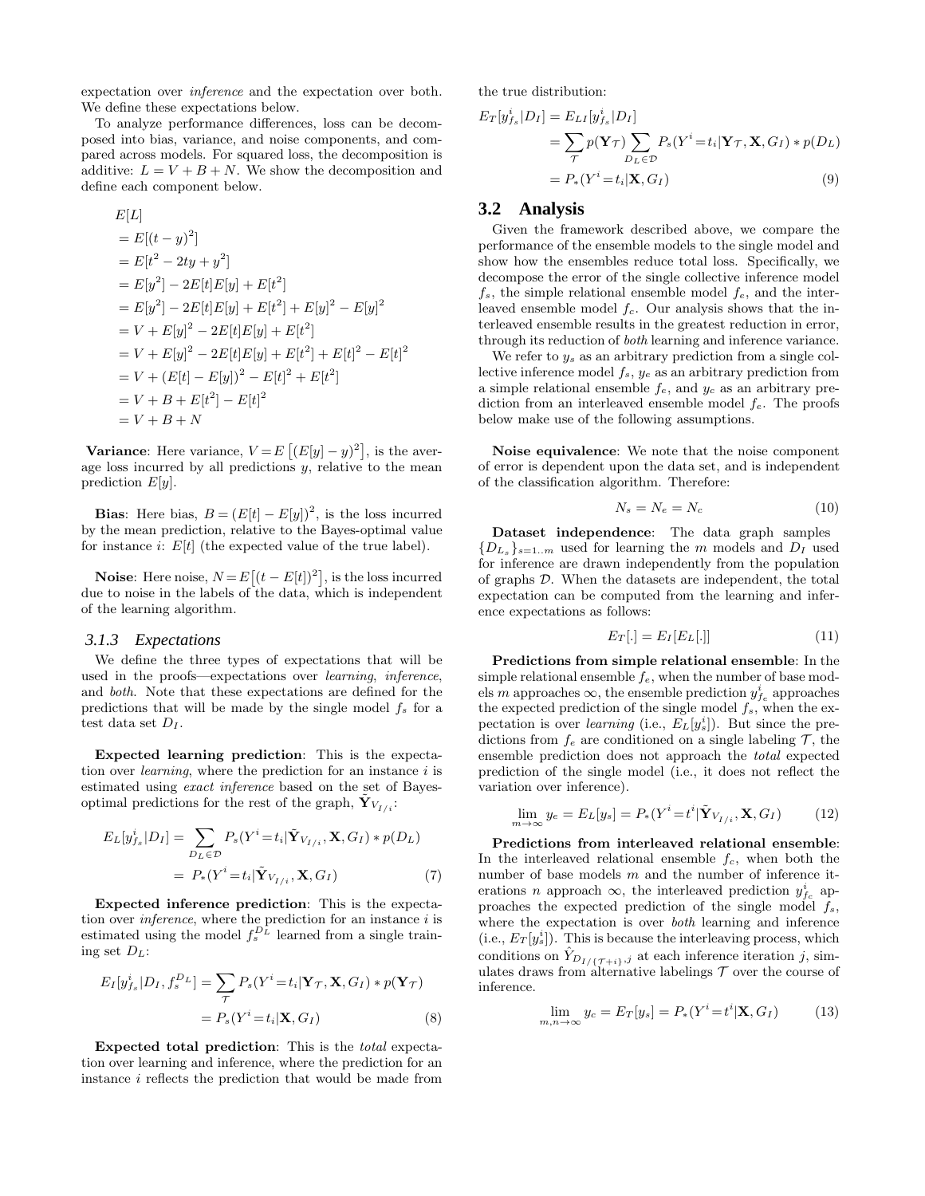expectation over inference and the expectation over both. We define these expectations below.

To analyze performance differences, loss can be decomposed into bias, variance, and noise components, and compared across models. For squared loss, the decomposition is additive:  $L = V + B + N$ . We show the decomposition and define each component below.

$$
E[L] \n= E[(t - y)^2] \n= E[t^2 - 2ty + y^2] \n= E[y^2] - 2E[t]E[y] + E[t^2] \n= E[y^2] - 2E[t]E[y] + E[t^2] + E[y]^2 - E[y]^2 \n= V + E[y]^2 - 2E[t]E[y] + E[t^2] \n= V + E[y]^2 - 2E[t]E[y] + E[t^2] + E[t]^2 - E[t]^2 \n= V + (E[t] - E[y])^2 - E[t]^2 + E[t^2] \n= V + B + E[t^2] - E[t]^2 \n= V + B + N
$$

**Variance:** Here variance,  $V = E[(E[y] - y)^2]$ , is the average loss incurred by all predictions  $y$ , relative to the mean prediction  $E[y]$ .

**Bias:** Here bias,  $B = (E[t] - E[y])^2$ , is the loss incurred by the mean prediction, relative to the Bayes-optimal value for instance *i*:  $E[t]$  (the expected value of the true label).

**Noise:** Here noise,  $N = E[(t - E[t])^2]$ , is the loss incurred due to noise in the labels of the data, which is independent of the learning algorithm.

#### *3.1.3 Expectations*

We define the three types of expectations that will be used in the proofs—expectations over learning, inference, and both. Note that these expectations are defined for the predictions that will be made by the single model  $f_s$  for a test data set  $D_I$ .

Expected learning prediction: This is the expectation over *learning*, where the prediction for an instance  $i$  is estimated using exact inference based on the set of Bayesoptimal predictions for the rest of the graph,  $\tilde{\mathbf{Y}}_{V_{I/i}}$ :

$$
E_L[y^i_{fs}|D_I] = \sum_{D_L \in \mathcal{D}} P_s(Y^i = t_i | \tilde{\mathbf{Y}}_{V_{I/i}}, \mathbf{X}, G_I) * p(D_L)
$$

$$
= P_*(Y^i = t_i | \tilde{\mathbf{Y}}_{V_{I/i}}, \mathbf{X}, G_I)
$$
(7)

Expected inference prediction: This is the expectation over *inference*, where the prediction for an instance  $i$  is estimated using the model  $f_s^{D_L}$  learned from a single training set  $D_L$ :

$$
E_I[y^i_{fs}|D_I, f_s^{D_L}] = \sum_{\mathcal{T}} P_s(Y^i = t_i | \mathbf{Y}_{\mathcal{T}}, \mathbf{X}, G_I) * p(\mathbf{Y}_{\mathcal{T}})
$$

$$
= P_s(Y^i = t_i | \mathbf{X}, G_I)
$$
(8)

Expected total prediction: This is the total expectation over learning and inference, where the prediction for an instance i reflects the prediction that would be made from

the true distribution:

$$
E_T[y^i_{fs}|D_I] = E_{LI}[y^i_{fs}|D_I]
$$
  
=  $\sum_{\mathcal{T}} p(\mathbf{Y}_{\mathcal{T}}) \sum_{D_L \in \mathcal{D}} P_s(Y^i = t_i | \mathbf{Y}_{\mathcal{T}}, \mathbf{X}, G_I) * p(D_L)$   
=  $P_*(Y^i = t_i | \mathbf{X}, G_I)$  (9)

# **3.2 Analysis**

Given the framework described above, we compare the performance of the ensemble models to the single model and show how the ensembles reduce total loss. Specifically, we decompose the error of the single collective inference model  $f_s$ , the simple relational ensemble model  $f_e$ , and the interleaved ensemble model  $f_c$ . Our analysis shows that the interleaved ensemble results in the greatest reduction in error, through its reduction of both learning and inference variance.

We refer to  $y_s$  as an arbitrary prediction from a single collective inference model  $f_s$ ,  $y_e$  as an arbitrary prediction from a simple relational ensemble  $f_e$ , and  $y_c$  as an arbitrary prediction from an interleaved ensemble model  $f_e$ . The proofs below make use of the following assumptions.

Noise equivalence: We note that the noise component of error is dependent upon the data set, and is independent of the classification algorithm. Therefore:

$$
N_s = N_e = N_c \tag{10}
$$

Dataset independence: The data graph samples  ${D_{L_s}}_{s=1..m}$  used for learning the m models and  $D_I$  used for inference are drawn independently from the population of graphs D. When the datasets are independent, the total expectation can be computed from the learning and inference expectations as follows:

$$
E_T[.] = E_I[E_L[.]] \tag{11}
$$

Predictions from simple relational ensemble: In the simple relational ensemble  $f_e$ , when the number of base models m approaches  $\infty$ , the ensemble prediction  $y_{fe}^i$  approaches the expected prediction of the single model  $f_s$ , when the expectation is over learning (i.e.,  $E_L[y_s^i]$ ). But since the predictions from  $f_e$  are conditioned on a single labeling  $\mathcal{T}$ , the ensemble prediction does not approach the total expected prediction of the single model (i.e., it does not reflect the variation over inference).

$$
\lim_{m \to \infty} y_e = E_L[y_s] = P_*(Y^i = t^i | \tilde{\mathbf{Y}}_{V_{I/i}}, \mathbf{X}, G_I)
$$
(12)

Predictions from interleaved relational ensemble: In the interleaved relational ensemble  $f_c$ , when both the number of base models m and the number of inference iterations n approach  $\infty$ , the interleaved prediction  $y_{f_c}^i$  approaches the expected prediction of the single model  $f_s$ , where the expectation is over both learning and inference (i.e.,  $E_T[y_s^i]$ ). This is because the interleaving process, which conditions on  $\hat{Y}_{D_{I/\lbrace T+i\rbrace},j}$  at each inference iteration j, simulates draws from alternative labelings  $\mathcal T$  over the course of inference.

$$
\lim_{m,n \to \infty} y_c = E_T[y_s] = P_*(Y^i = t^i | \mathbf{X}, G_I)
$$
(13)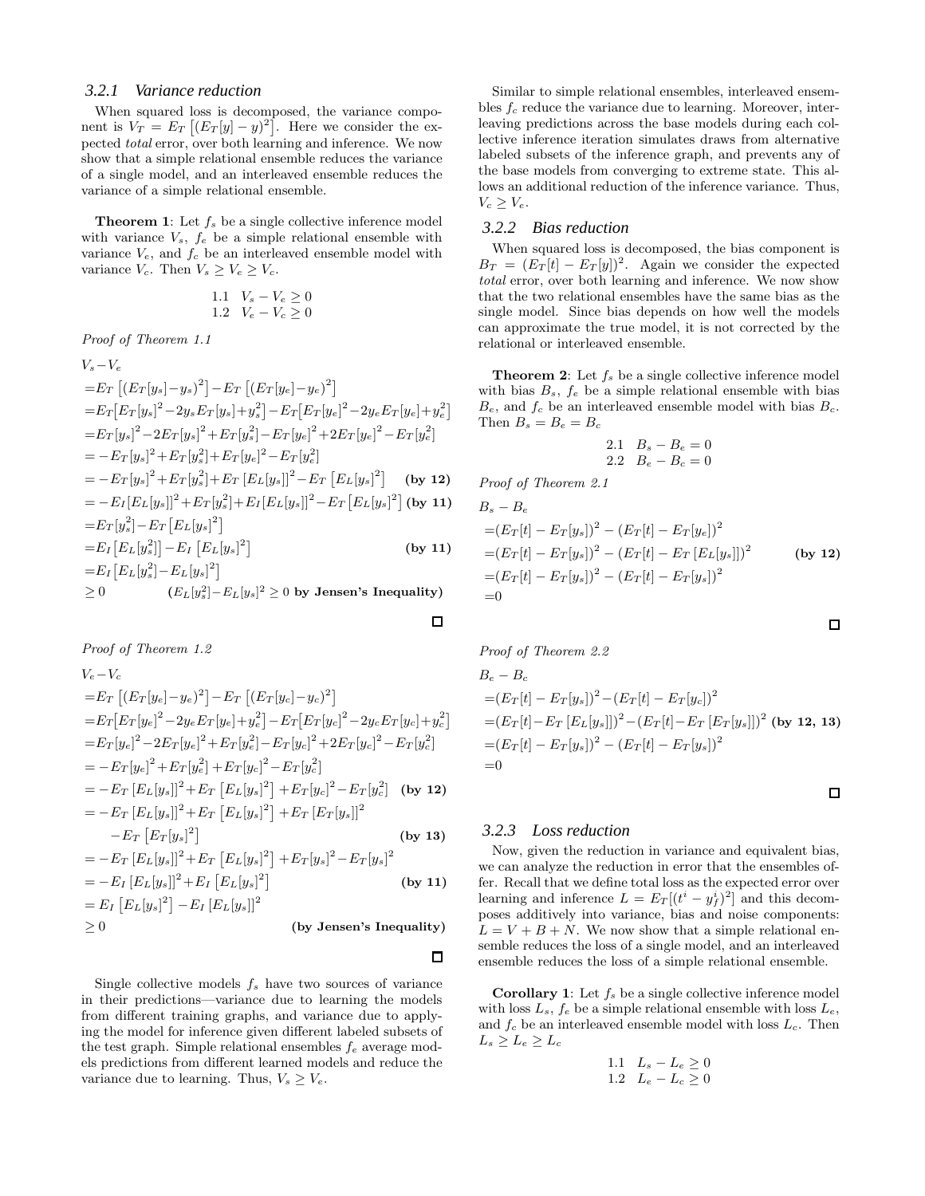## *3.2.1 Variance reduction*

When squared loss is decomposed, the variance component is  $V_T = E_T [(E_T[y] - y)^2]$ . Here we consider the expected total error, over both learning and inference. We now show that a simple relational ensemble reduces the variance of a single model, and an interleaved ensemble reduces the variance of a simple relational ensemble.

**Theorem 1:** Let  $f_s$  be a single collective inference model with variance  $V_s$ ,  $f_e$  be a simple relational ensemble with variance  $V_e$ , and  $f_c$  be an interleaved ensemble model with variance  $V_c$ . Then  $V_s \geq V_e \geq V_c$ .

1.1 
$$
V_s - V_e \ge 0
$$
  
1.2  $V_e - V_c \ge 0$ 

Proof of Theorem 1.1

$$
V_s - V_e
$$
  
\n
$$
= Er \left[ (Er[y_s] - y_s)^2 \right] - Er \left[ (Er[y_e] - y_e)^2 \right]
$$
  
\n
$$
= Er \left[ Er[y_s]^2 - 2y_s Er[y_s] + y_s^2 \right] - Er \left[ Er[y_e]^2 - 2y_e Er[y_e] + y_e^2 \right]
$$
  
\n
$$
= Er[y_s]^2 - 2Er[y_s]^2 + Er[y_s^2] - Er[y_e]^2 + 2Er[y_e]^2 - Er[y_e^2]
$$
  
\n
$$
= -Er[y_s]^2 + Er[y_s^2] + Er[y_e]^2 - Er[y_e^2]
$$
  
\n
$$
= -Er[y_s]^2 + Er[y_s^2] + Er [E_L[y_s]]^2 - Er [E_L[y_s]^2]
$$
 (by 12)  
\n
$$
= -E_I[E_L[y_s]]^2 + Er[y_s^2] + Er[E_L[y_s]]^2 - Er [E_L[y_s]^2]
$$
 (by 11)  
\n
$$
= Er[y_s^2] - Er [E_L[y_s]^2]
$$
  
\n
$$
= Er [E_L[y_s^2] - E_L[y_s]^2]
$$
  
\n
$$
= E_I[E_L[y_s^2] - E_L[y_s]^2]
$$
  
\n
$$
= G_L[y_s^2] - E_L[y_s]^2
$$
  
\n
$$
= G_L[y_s^2] - E_L[y_s]^2
$$
  
\n
$$
= G_L[y_s^2] - E_L[y_s]^2
$$
  
\n
$$
= G_L[y_s^2] - E_L[y_s]^2
$$
  
\n
$$
= G_L[y_s^2] - E_L[y_s]^2
$$

Proof of Theorem 1.2  $V_e-V_c$  $=E_T [(E_T[y_e]-y_e)^2]-E_T [(E_T[y_c]-y_c)^2]$  $=E_T\big[E_T[y_e]^2-2y_eE_T[y_e]+y_e^2\big]-E_T\big[E_T[y_c]^2-2y_cE_T[y_c]+y_c^2\big]$  $= E_T [y_e]^2 - 2E_T [y_e]^2 + E_T [y_e^2] - E_T [y_c]^2 + 2E_T [y_c]^2 - E_T [y_c^2]$  $=-E_T[y_e]^2+E_T[y_e^2]+E_T[y_c]^2-E_T[y_c^2]$  $=-E_T [E_L[y_s]]^2 + E_T [E_L[y_s]^2] + E_T [y_c]^2 - E_T[y_c^2]$  (by 12)  $=-E_T\left[E_L[y_s]\right]^2 + E_T\left[E_L[y_s]^2\right] + E_T\left[E_T[y_s]\right]^2$  $-E_T \left[E_T[y_s]^2\right]$ (by 13)  $=-E_T [E_L[y_s]]^2 + E_T [E_L[y_s]^2] + E_T[y_s]^2 - E_T[y_s]^2$  $=-E_I [E_L[y_s]]^2 + E_I [E_L[y_s]^2]$ (by 11)  $= E_I [E_L[y_s]^2] - E_I [E_L[y_s]]^2$ 

 $\geq 0$  (by Jensen's Inequality)

Single collective models  $f_s$  have two sources of variance in their predictions—variance due to learning the models from different training graphs, and variance due to applying the model for inference given different labeled subsets of the test graph. Simple relational ensembles  $f_e$  average models predictions from different learned models and reduce the variance due to learning. Thus,  $V_s \geq V_e$ .

Similar to simple relational ensembles, interleaved ensembles  $f_c$  reduce the variance due to learning. Moreover, interleaving predictions across the base models during each collective inference iteration simulates draws from alternative labeled subsets of the inference graph, and prevents any of the base models from converging to extreme state. This allows an additional reduction of the inference variance. Thus,  $V_c \geq V_e$ .

## *3.2.2 Bias reduction*

When squared loss is decomposed, the bias component is  $B_T = (E_T[t] - E_T[y])^2$ . Again we consider the expected total error, over both learning and inference. We now show that the two relational ensembles have the same bias as the single model. Since bias depends on how well the models can approximate the true model, it is not corrected by the relational or interleaved ensemble.

**Theorem 2:** Let  $f_s$  be a single collective inference model with bias  $B_s$ ,  $f_e$  be a simple relational ensemble with bias  $B_e$ , and  $f_c$  be an interleaved ensemble model with bias  $B_c$ . Then  $B_s = B_e = B_c$ 

2.1 
$$
B_s - B_e = 0
$$
  
2.2  $B_e - B_c = 0$ 

Proof of Theorem 2.1

$$
B_s - B_e
$$
  
=  $(E_T[t] - E_T[y_s])^2 - (E_T[t] - E_T[y_e])^2$   
=  $(E_T[t] - E_T[y_s])^2 - (E_T[t] - E_T[E_L[y_s]])^2$  (by 12)  
=  $(E_T[t] - E_T[y_s])^2 - (E_T[t] - E_T[y_s])^2$ 

Proof of Theorem 2.2

 $\Box$ 

□

$$
B_e - B_c
$$
  
=  $(E_T[t] - E_T[y_s])^2 - (E_T[t] - E_T[y_c])^2$   
=  $(E_T[t] - E_T[E_L[y_s]])^2 - (E_T[t] - E_T[E_T[y_s]])^2$  (by 12, 13)  
=  $(E_T[t] - E_T[y_s])^2 - (E_T[t] - E_T[y_s])^2$   
= 0

 $\Box$ 

□

# *3.2.3 Loss reduction*

Now, given the reduction in variance and equivalent bias, we can analyze the reduction in error that the ensembles offer. Recall that we define total loss as the expected error over learning and inference  $L = E_T[(t^i - y_f^i)^2]$  and this decomposes additively into variance, bias and noise components:  $L = V + B + N$ . We now show that a simple relational ensemble reduces the loss of a single model, and an interleaved ensemble reduces the loss of a simple relational ensemble.

**Corollary 1:** Let  $f_s$  be a single collective inference model with loss  $L_s$ ,  $f_e$  be a simple relational ensemble with loss  $L_e$ , and  $f_c$  be an interleaved ensemble model with loss  $L_c$ . Then  $L_s \geq L_e \geq L_c$ 

1.1 
$$
L_s - L_e \ge 0
$$
  
1.2  $L_e - L_c \ge 0$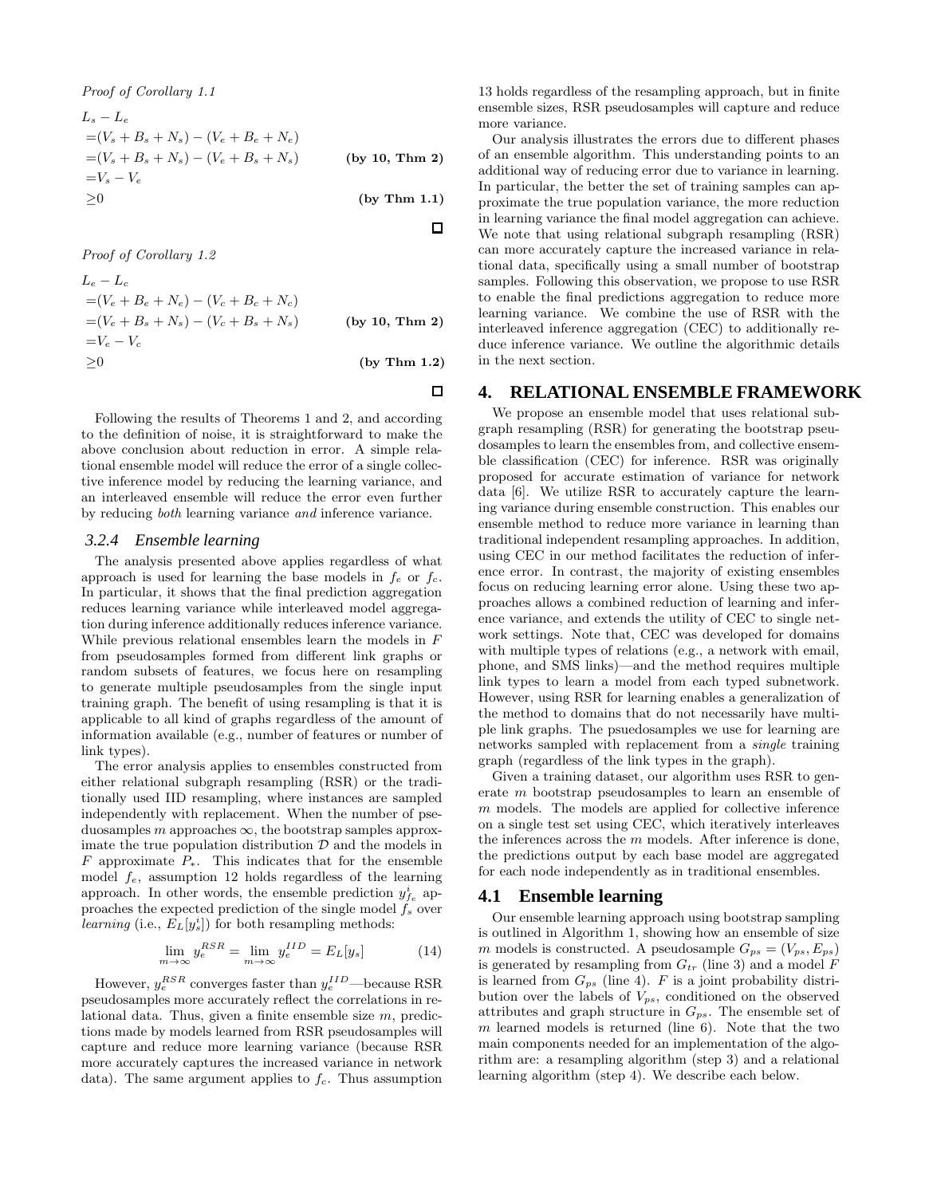Proof of Corollary 1.1  
\n
$$
L_s - L_e
$$
\n
$$
= (V_s + B_s + N_s) - (V_e + B_e + N_e)
$$
\n
$$
= (V_s + B_s + N_s) - (V_e + B_s + N_s)
$$
\n(by 10, Thm 2)\n
$$
= V_s - V_e
$$
\n
$$
\geq 0
$$
\n(by Thm 1.1)

 $\Box$ 

 $\Box$ 

Proof of Corollary 1.2

 $L_e - L_c$  $=(V_e + B_e + N_e) - (V_c + B_c + N_c)$  $=(V_e + B_s + N_s) - (V_c + B_s + N_s)$  (by 10, Thm 2)  $=V_e - V_c$  $>0$  (by Thm 1.2)

Following the results of Theorems 1 and 2, and according to the definition of noise, it is straightforward to make the above conclusion about reduction in error. A simple relational ensemble model will reduce the error of a single collective inference model by reducing the learning variance, and an interleaved ensemble will reduce the error even further by reducing both learning variance and inference variance.

#### *3.2.4 Ensemble learning*

The analysis presented above applies regardless of what approach is used for learning the base models in  $f_e$  or  $f_c$ . In particular, it shows that the final prediction aggregation reduces learning variance while interleaved model aggregation during inference additionally reduces inference variance. While previous relational ensembles learn the models in F from pseudosamples formed from different link graphs or random subsets of features, we focus here on resampling to generate multiple pseudosamples from the single input training graph. The benefit of using resampling is that it is applicable to all kind of graphs regardless of the amount of information available (e.g., number of features or number of link types).

The error analysis applies to ensembles constructed from either relational subgraph resampling (RSR) or the traditionally used IID resampling, where instances are sampled independently with replacement. When the number of pseduosamples m approaches  $\infty$ , the bootstrap samples approximate the true population distribution  $\mathcal D$  and the models in F approximate  $P_{\ast}$ . This indicates that for the ensemble model  $f_e$ , assumption 12 holds regardless of the learning approach. In other words, the ensemble prediction  $y_{f_e}^i$  approaches the expected prediction of the single model  $f_s$  over *learning* (i.e.,  $E_L[y_s^i]$ ) for both resampling methods:

$$
\lim_{m \to \infty} y_e^{RSR} = \lim_{m \to \infty} y_e^{IID} = E_L[y_s]
$$
 (14)

However,  $y_e^{RSR}$  converges faster than  $y_e^{IID}$ —because RSR pseudosamples more accurately reflect the correlations in relational data. Thus, given a finite ensemble size m, predictions made by models learned from RSR pseudosamples will capture and reduce more learning variance (because RSR more accurately captures the increased variance in network data). The same argument applies to  $f_c$ . Thus assumption

13 holds regardless of the resampling approach, but in finite ensemble sizes, RSR pseudosamples will capture and reduce more variance.

Our analysis illustrates the errors due to different phases of an ensemble algorithm. This understanding points to an additional way of reducing error due to variance in learning. In particular, the better the set of training samples can approximate the true population variance, the more reduction in learning variance the final model aggregation can achieve. We note that using relational subgraph resampling (RSR) can more accurately capture the increased variance in relational data, specifically using a small number of bootstrap samples. Following this observation, we propose to use RSR to enable the final predictions aggregation to reduce more learning variance. We combine the use of RSR with the interleaved inference aggregation (CEC) to additionally reduce inference variance. We outline the algorithmic details in the next section.

## **4. RELATIONAL ENSEMBLE FRAMEWORK**

We propose an ensemble model that uses relational subgraph resampling (RSR) for generating the bootstrap pseudosamples to learn the ensembles from, and collective ensemble classification (CEC) for inference. RSR was originally proposed for accurate estimation of variance for network data [6]. We utilize RSR to accurately capture the learning variance during ensemble construction. This enables our ensemble method to reduce more variance in learning than traditional independent resampling approaches. In addition, using CEC in our method facilitates the reduction of inference error. In contrast, the majority of existing ensembles focus on reducing learning error alone. Using these two approaches allows a combined reduction of learning and inference variance, and extends the utility of CEC to single network settings. Note that, CEC was developed for domains with multiple types of relations (e.g., a network with email, phone, and SMS links)—and the method requires multiple link types to learn a model from each typed subnetwork. However, using RSR for learning enables a generalization of the method to domains that do not necessarily have multiple link graphs. The psuedosamples we use for learning are networks sampled with replacement from a single training graph (regardless of the link types in the graph).

Given a training dataset, our algorithm uses RSR to generate m bootstrap pseudosamples to learn an ensemble of m models. The models are applied for collective inference on a single test set using CEC, which iteratively interleaves the inferences across the  $m$  models. After inference is done, the predictions output by each base model are aggregated for each node independently as in traditional ensembles.

## **4.1 Ensemble learning**

Our ensemble learning approach using bootstrap sampling is outlined in Algorithm 1, showing how an ensemble of size m models is constructed. A pseudosample  $G_{ps} = (V_{ps}, E_{ps})$ is generated by resampling from  $G_{tr}$  (line 3) and a model  $F$ is learned from  $G_{ps}$  (line 4).  $F$  is a joint probability distribution over the labels of  $V_{ps}$ , conditioned on the observed attributes and graph structure in  $G_{ps}$ . The ensemble set of  $m$  learned models is returned (line 6). Note that the two main components needed for an implementation of the algorithm are: a resampling algorithm (step 3) and a relational learning algorithm (step 4). We describe each below.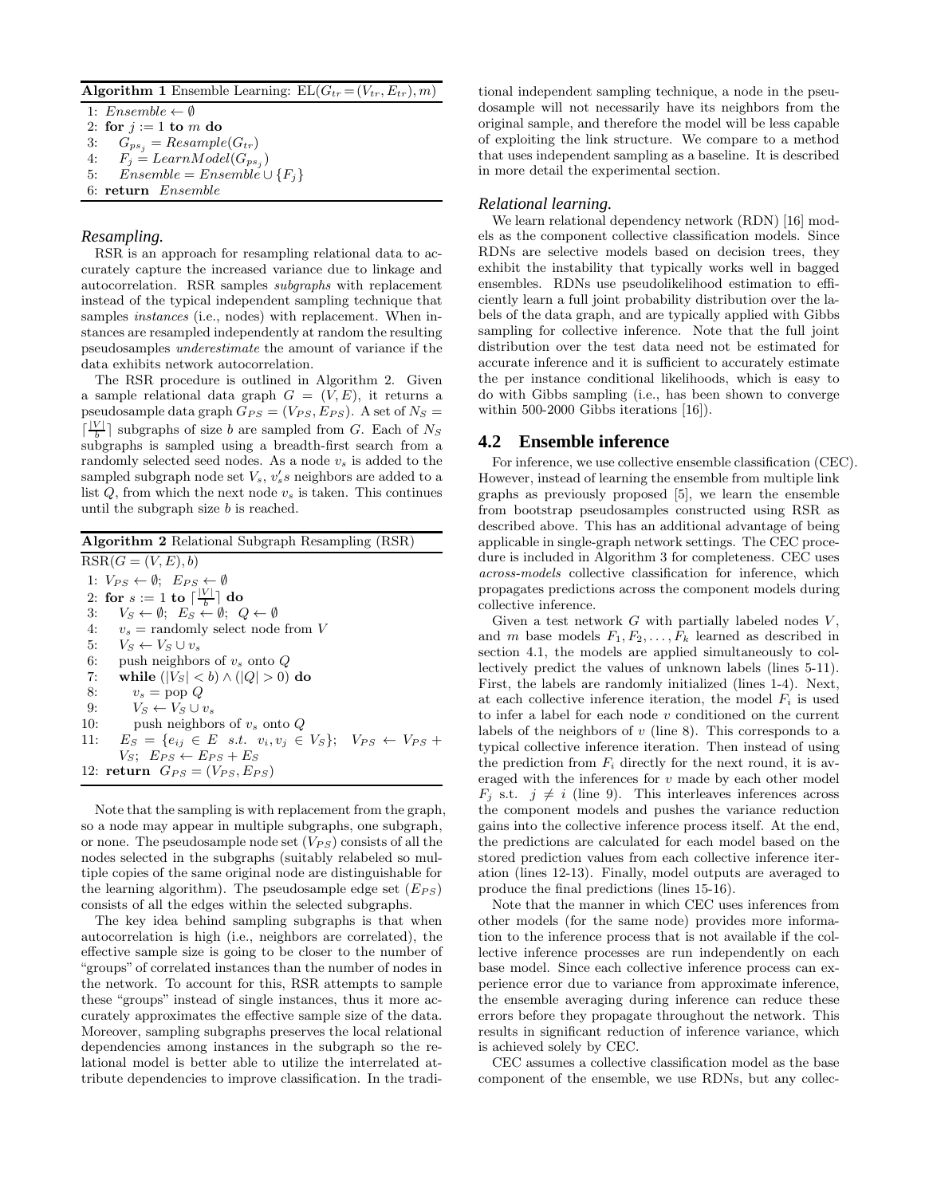#### Algorithm 1 Ensemble Learning:  $EL(G_{tr} = (V_{tr}, E_{tr}), m)$

1:  $Ensemble \leftarrow \emptyset$ 2: for  $j := 1$  to m do 3:  $G_{ps_j} = Resample(G_{tr})$ <br>4:  $F_i = LearnModel(G_{ns})$ 4:  $F_j = LearnModel(G_{ps_j})$ 5: Ensemble = Ensemble ∪  $\{F_i\}$ 6: return Ensemble

## *Resampling.*

RSR is an approach for resampling relational data to accurately capture the increased variance due to linkage and autocorrelation. RSR samples subgraphs with replacement instead of the typical independent sampling technique that samples *instances* (i.e., nodes) with replacement. When instances are resampled independently at random the resulting pseudosamples underestimate the amount of variance if the data exhibits network autocorrelation.

The RSR procedure is outlined in Algorithm 2. Given a sample relational data graph  $G = (V, E)$ , it returns a pseudosample data graph  $G_{PS} = (V_{PS}, E_{PS})$ . A set of  $N_S =$  $\lceil \frac{|V|}{b} \rceil$  subgraphs of size b are sampled from G. Each of  $N_S$ subgraphs is sampled using a breadth-first search from a randomly selected seed nodes. As a node  $v<sub>s</sub>$  is added to the sampled subgraph node set  $V_s$ ,  $v'_s s$  neighbors are added to a list  $Q$ , from which the next node  $v<sub>s</sub>$  is taken. This continues until the subgraph size  $b$  is reached.

| <b>Algorithm 2</b> Relational Subgraph Resampling (RSR)                                          |
|--------------------------------------------------------------------------------------------------|
| $RSR(G = (V, E), b)$                                                                             |
| 1: $V_{PS} \leftarrow \emptyset$ ; $E_{PS} \leftarrow \emptyset$                                 |
| 2: for $s := 1$ to $\lceil \frac{ V }{h} \rceil$ do                                              |
| $V_S \leftarrow \emptyset; E_S \leftarrow \emptyset; Q \leftarrow \emptyset$<br>3:               |
| 4: $v_s$ = randomly select node from V                                                           |
| 5: $V_s \leftarrow V_s \cup v_s$                                                                 |
| 6:<br>push neighbors of $v_s$ onto Q                                                             |
| while $( V_S  < b) \wedge ( Q  > 0)$ do<br>7:                                                    |
| $v_s =$ pop Q<br>8:                                                                              |
| 9:<br>$V_s \leftarrow V_s \cup v_s$                                                              |
| 10:<br>push neighbors of $v_s$ onto Q                                                            |
| $E_S = \{e_{ij} \in E \text{ s.t. } v_i, v_j \in V_S\}; \quad V_{PS} \leftarrow V_{PS} +$<br>11: |
| $V_s$ : $E_{PS} \leftarrow E_{PS} + E_S$                                                         |
| 12: return $G_{PS} = (V_{PS}, E_{PS})$                                                           |
|                                                                                                  |

Note that the sampling is with replacement from the graph, so a node may appear in multiple subgraphs, one subgraph, or none. The pseudosample node set  $(V_{PS})$  consists of all the nodes selected in the subgraphs (suitably relabeled so multiple copies of the same original node are distinguishable for the learning algorithm). The pseudosample edge set  $(E_{PS})$ consists of all the edges within the selected subgraphs.

The key idea behind sampling subgraphs is that when autocorrelation is high (i.e., neighbors are correlated), the effective sample size is going to be closer to the number of "groups" of correlated instances than the number of nodes in the network. To account for this, RSR attempts to sample these "groups" instead of single instances, thus it more accurately approximates the effective sample size of the data. Moreover, sampling subgraphs preserves the local relational dependencies among instances in the subgraph so the relational model is better able to utilize the interrelated attribute dependencies to improve classification. In the traditional independent sampling technique, a node in the pseudosample will not necessarily have its neighbors from the original sample, and therefore the model will be less capable of exploiting the link structure. We compare to a method that uses independent sampling as a baseline. It is described in more detail the experimental section.

#### *Relational learning.*

We learn relational dependency network (RDN) [16] models as the component collective classification models. Since RDNs are selective models based on decision trees, they exhibit the instability that typically works well in bagged ensembles. RDNs use pseudolikelihood estimation to efficiently learn a full joint probability distribution over the labels of the data graph, and are typically applied with Gibbs sampling for collective inference. Note that the full joint distribution over the test data need not be estimated for accurate inference and it is sufficient to accurately estimate the per instance conditional likelihoods, which is easy to do with Gibbs sampling (i.e., has been shown to converge within 500-2000 Gibbs iterations [16]).

## **4.2 Ensemble inference**

For inference, we use collective ensemble classification (CEC). However, instead of learning the ensemble from multiple link graphs as previously proposed [5], we learn the ensemble from bootstrap pseudosamples constructed using RSR as described above. This has an additional advantage of being applicable in single-graph network settings. The CEC procedure is included in Algorithm 3 for completeness. CEC uses across-models collective classification for inference, which propagates predictions across the component models during collective inference.

Given a test network  $G$  with partially labeled nodes  $V$ . and m base models  $F_1, F_2, \ldots, F_k$  learned as described in section 4.1, the models are applied simultaneously to collectively predict the values of unknown labels (lines 5-11). First, the labels are randomly initialized (lines 1-4). Next, at each collective inference iteration, the model  $F_i$  is used to infer a label for each node v conditioned on the current labels of the neighbors of  $v$  (line 8). This corresponds to a typical collective inference iteration. Then instead of using the prediction from  $F_i$  directly for the next round, it is averaged with the inferences for  $v$  made by each other model  $F_j$  s.t.  $j \neq i$  (line 9). This interleaves inferences across the component models and pushes the variance reduction gains into the collective inference process itself. At the end, the predictions are calculated for each model based on the stored prediction values from each collective inference iteration (lines 12-13). Finally, model outputs are averaged to produce the final predictions (lines 15-16).

Note that the manner in which CEC uses inferences from other models (for the same node) provides more information to the inference process that is not available if the collective inference processes are run independently on each base model. Since each collective inference process can experience error due to variance from approximate inference, the ensemble averaging during inference can reduce these errors before they propagate throughout the network. This results in significant reduction of inference variance, which is achieved solely by CEC.

CEC assumes a collective classification model as the base component of the ensemble, we use RDNs, but any collec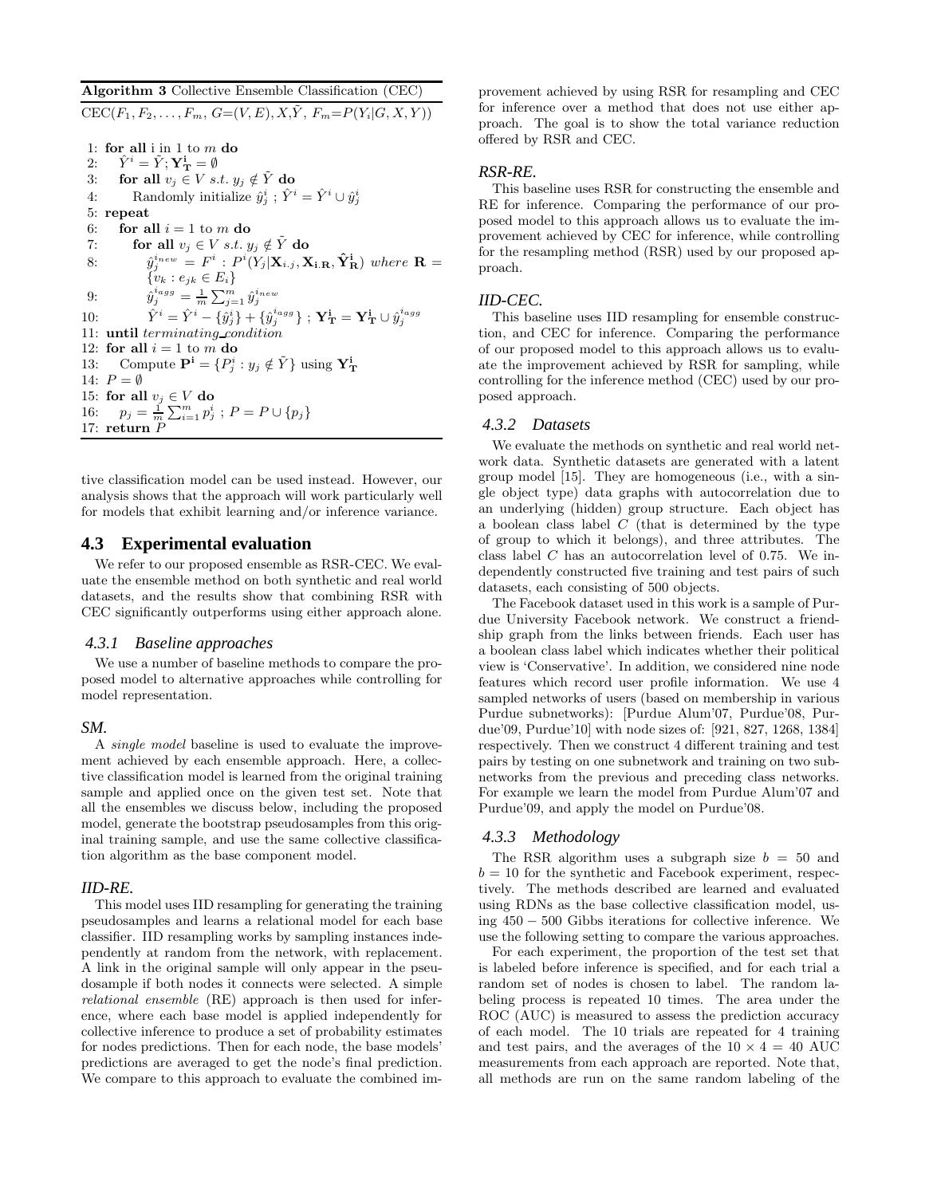Algorithm 3 Collective Ensemble Classification (CEC)  $\overline{\text{CEC}(F_1, F_2, \ldots, F_m, G=(V, E), X, \tilde{Y}, F_m=P(Y_i|G, X, Y))}$ 

1: for all  $i$  in 1 to  $m$  do 2:  $\hat{Y}^i = \tilde{Y}; \mathbf{Y}_{\mathbf{T}}^i = \emptyset$ 3: for all  $v_j \in V$  s.t.  $y_j \notin \tilde{Y}$  do 4: Randomly initialize  $\hat{y}_j^i$ ;  $\hat{Y}^i = \hat{Y}^i \cup \hat{y}_j^i$ 5: repeat 6: for all  $i = 1$  to m do 7: for all  $v_j \in V$  s.t.  $y_j \notin \tilde{Y}$  do 8:  $\hat{y}_j^{i_{new}} = F^i : P^i(Y_j | \mathbf{X}_{i,j}, \mathbf{X}_{i,R}, \hat{\mathbf{Y}}_R^i)$  where  $\mathbf{R} =$  ${v_k : e_{jk} \in E_i}$ 9:  $\hat{y}_{j}^{i_{agg}} = \frac{1}{m}$ 9:  $\hat{y}_j^{i_{agg}} = \frac{1}{m} \sum_{j=1}^m \hat{y}_j^{i_{new}}$ <br>
10:  $\hat{Y}^i = \hat{Y}^i - {\{\hat{y}_j^i\}} + {\{\hat{y}_j^{i_{agg}}\}}; \mathbf{Y_T^i} = \mathbf{Y_T^i} \cup \hat{y}_j^{i_{agg}}$ 11: until terminating condition 12: for all  $i = 1$  to  $m$  do 13: Compute  $\mathbf{P}^{\mathbf{i}} = \{P_j^i : y_j \notin \tilde{Y}\}\$ using  $\mathbf{Y}_\mathbf{T}^{\mathbf{i}}$ 14:  $P = \emptyset$ 15: for all  $v_j \in V$  do 16:  $p_j = \frac{1}{n}$  $\frac{1}{m}\sum_{i=1}^{m} p_j^i ; P = P \cup \{p_j\}$ 17: return  $P$ 

tive classification model can be used instead. However, our analysis shows that the approach will work particularly well for models that exhibit learning and/or inference variance.

## **4.3 Experimental evaluation**

We refer to our proposed ensemble as RSR-CEC. We evaluate the ensemble method on both synthetic and real world datasets, and the results show that combining RSR with CEC significantly outperforms using either approach alone.

#### *4.3.1 Baseline approaches*

We use a number of baseline methods to compare the proposed model to alternative approaches while controlling for model representation.

#### *SM.*

A single model baseline is used to evaluate the improvement achieved by each ensemble approach. Here, a collective classification model is learned from the original training sample and applied once on the given test set. Note that all the ensembles we discuss below, including the proposed model, generate the bootstrap pseudosamples from this original training sample, and use the same collective classification algorithm as the base component model.

## *IID-RE.*

This model uses IID resampling for generating the training pseudosamples and learns a relational model for each base classifier. IID resampling works by sampling instances independently at random from the network, with replacement. A link in the original sample will only appear in the pseudosample if both nodes it connects were selected. A simple relational ensemble (RE) approach is then used for inference, where each base model is applied independently for collective inference to produce a set of probability estimates for nodes predictions. Then for each node, the base models' predictions are averaged to get the node's final prediction. We compare to this approach to evaluate the combined improvement achieved by using RSR for resampling and CEC for inference over a method that does not use either approach. The goal is to show the total variance reduction offered by RSR and CEC.

## *RSR-RE.*

This baseline uses RSR for constructing the ensemble and RE for inference. Comparing the performance of our proposed model to this approach allows us to evaluate the improvement achieved by CEC for inference, while controlling for the resampling method (RSR) used by our proposed approach.

## *IID-CEC.*

This baseline uses IID resampling for ensemble construction, and CEC for inference. Comparing the performance of our proposed model to this approach allows us to evaluate the improvement achieved by RSR for sampling, while controlling for the inference method (CEC) used by our proposed approach.

## *4.3.2 Datasets*

We evaluate the methods on synthetic and real world network data. Synthetic datasets are generated with a latent group model [15]. They are homogeneous (i.e., with a single object type) data graphs with autocorrelation due to an underlying (hidden) group structure. Each object has a boolean class label  $C$  (that is determined by the type of group to which it belongs), and three attributes. The class label  $C$  has an autocorrelation level of 0.75. We independently constructed five training and test pairs of such datasets, each consisting of 500 objects.

The Facebook dataset used in this work is a sample of Purdue University Facebook network. We construct a friendship graph from the links between friends. Each user has a boolean class label which indicates whether their political view is 'Conservative'. In addition, we considered nine node features which record user profile information. We use 4 sampled networks of users (based on membership in various Purdue subnetworks): [Purdue Alum'07, Purdue'08, Purdue'09, Purdue'10] with node sizes of: [921, 827, 1268, 1384] respectively. Then we construct 4 different training and test pairs by testing on one subnetwork and training on two subnetworks from the previous and preceding class networks. For example we learn the model from Purdue Alum'07 and Purdue'09, and apply the model on Purdue'08.

#### *4.3.3 Methodology*

The RSR algorithm uses a subgraph size  $b = 50$  and  $b = 10$  for the synthetic and Facebook experiment, respectively. The methods described are learned and evaluated using RDNs as the base collective classification model, using 450 − 500 Gibbs iterations for collective inference. We use the following setting to compare the various approaches.

For each experiment, the proportion of the test set that is labeled before inference is specified, and for each trial a random set of nodes is chosen to label. The random labeling process is repeated 10 times. The area under the ROC (AUC) is measured to assess the prediction accuracy of each model. The 10 trials are repeated for 4 training and test pairs, and the averages of the  $10 \times 4 = 40$  AUC measurements from each approach are reported. Note that, all methods are run on the same random labeling of the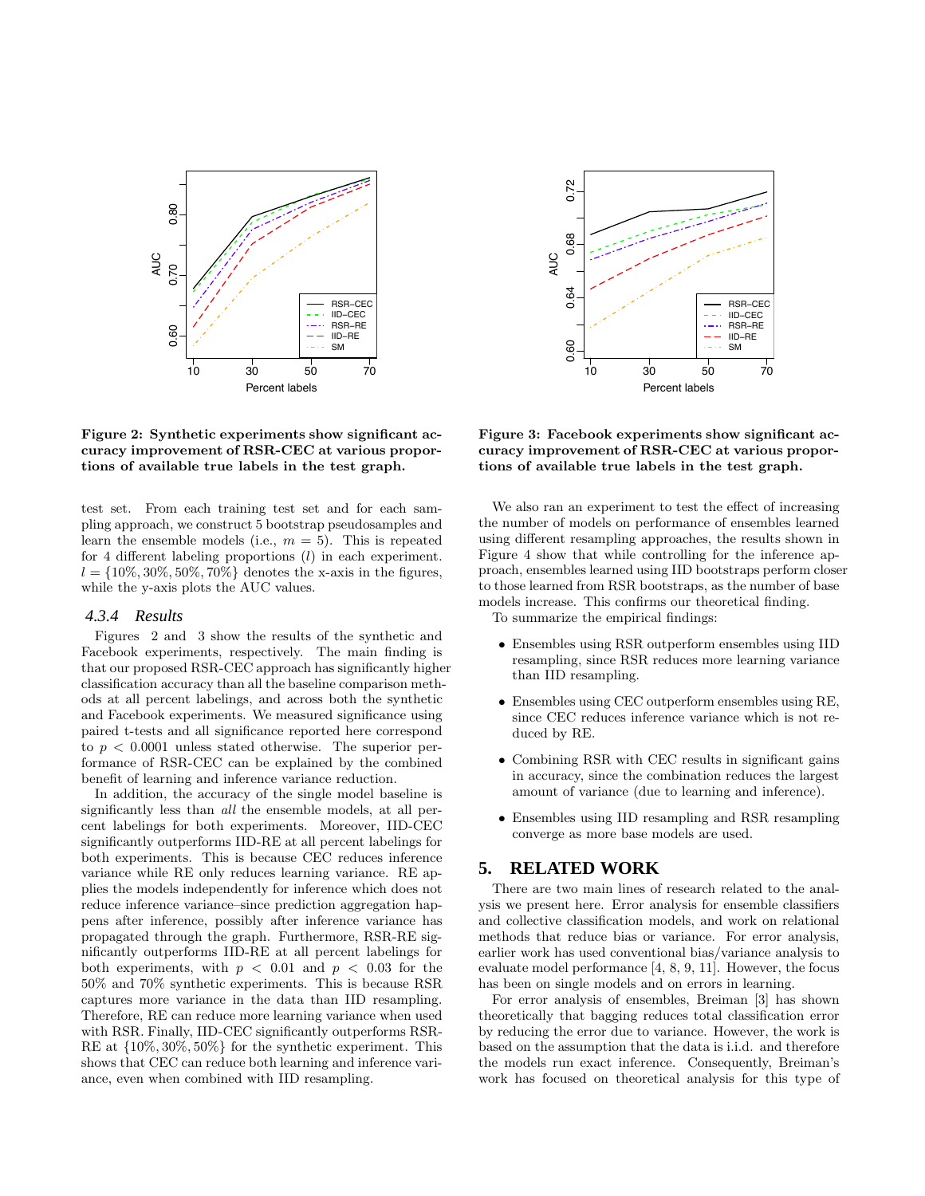

Figure 2: Synthetic experiments show significant accuracy improvement of RSR-CEC at various proportions of available true labels in the test graph.

test set. From each training test set and for each sampling approach, we construct 5 bootstrap pseudosamples and learn the ensemble models (i.e.,  $m = 5$ ). This is repeated for 4 different labeling proportions  $(l)$  in each experiment.  $l = \{10\%, 30\%, 50\%, 70\%\}\$  denotes the x-axis in the figures, while the y-axis plots the AUC values.

## *4.3.4 Results*

Figures 2 and 3 show the results of the synthetic and Facebook experiments, respectively. The main finding is that our proposed RSR-CEC approach has significantly higher classification accuracy than all the baseline comparison methods at all percent labelings, and across both the synthetic and Facebook experiments. We measured significance using paired t-tests and all significance reported here correspond to  $p < 0.0001$  unless stated otherwise. The superior performance of RSR-CEC can be explained by the combined benefit of learning and inference variance reduction.

In addition, the accuracy of the single model baseline is significantly less than *all* the ensemble models, at all percent labelings for both experiments. Moreover, IID-CEC significantly outperforms IID-RE at all percent labelings for both experiments. This is because CEC reduces inference variance while RE only reduces learning variance. RE applies the models independently for inference which does not reduce inference variance–since prediction aggregation happens after inference, possibly after inference variance has propagated through the graph. Furthermore, RSR-RE significantly outperforms IID-RE at all percent labelings for both experiments, with  $p < 0.01$  and  $p < 0.03$  for the 50% and 70% synthetic experiments. This is because RSR captures more variance in the data than IID resampling. Therefore, RE can reduce more learning variance when used with RSR. Finally, IID-CEC significantly outperforms RSR-RE at {10%, 30%, 50%} for the synthetic experiment. This shows that CEC can reduce both learning and inference variance, even when combined with IID resampling.



Figure 3: Facebook experiments show significant accuracy improvement of RSR-CEC at various proportions of available true labels in the test graph.

We also ran an experiment to test the effect of increasing the number of models on performance of ensembles learned using different resampling approaches, the results shown in Figure 4 show that while controlling for the inference approach, ensembles learned using IID bootstraps perform closer to those learned from RSR bootstraps, as the number of base models increase. This confirms our theoretical finding.

To summarize the empirical findings:

- Ensembles using RSR outperform ensembles using IID resampling, since RSR reduces more learning variance than IID resampling.
- Ensembles using CEC outperform ensembles using RE, since CEC reduces inference variance which is not reduced by RE.
- Combining RSR with CEC results in significant gains in accuracy, since the combination reduces the largest amount of variance (due to learning and inference).
- Ensembles using IID resampling and RSR resampling converge as more base models are used.

# **5. RELATED WORK**

There are two main lines of research related to the analysis we present here. Error analysis for ensemble classifiers and collective classification models, and work on relational methods that reduce bias or variance. For error analysis, earlier work has used conventional bias/variance analysis to evaluate model performance [4, 8, 9, 11]. However, the focus has been on single models and on errors in learning.

For error analysis of ensembles, Breiman [3] has shown theoretically that bagging reduces total classification error by reducing the error due to variance. However, the work is based on the assumption that the data is i.i.d. and therefore the models run exact inference. Consequently, Breiman's work has focused on theoretical analysis for this type of